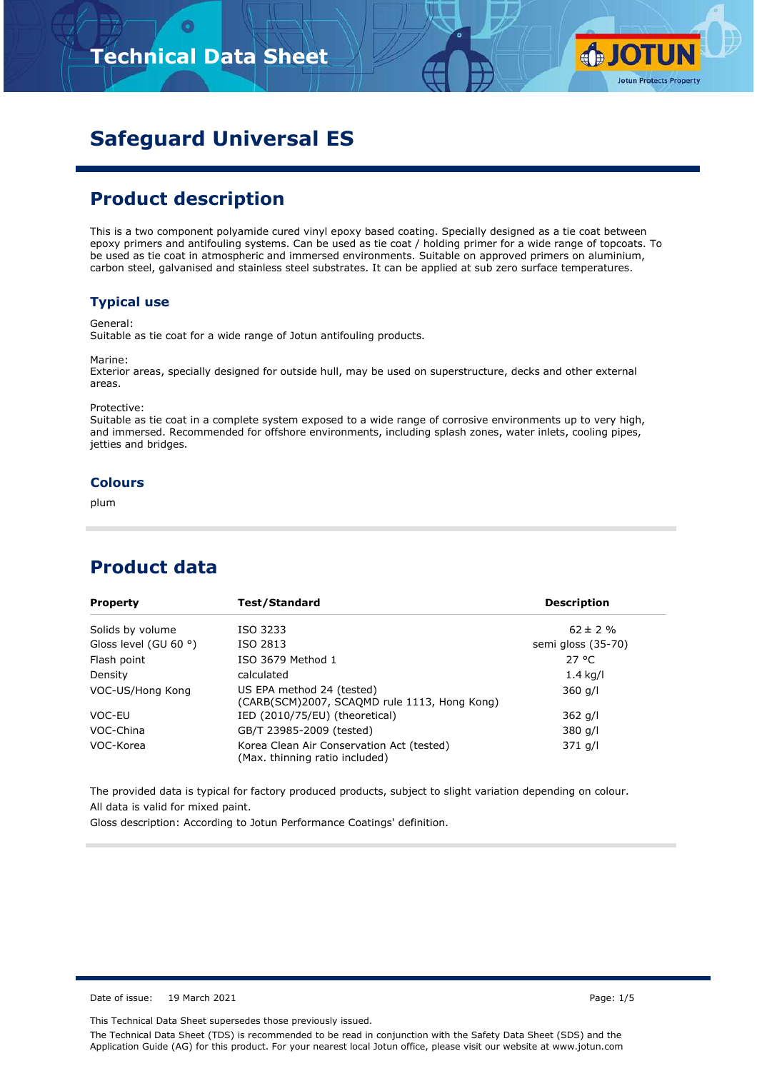

# **Safeguard Universal ES**

## **Product description**

This is a two component polyamide cured vinyl epoxy based coating. Specially designed as a tie coat between epoxy primers and antifouling systems. Can be used as tie coat / holding primer for a wide range of topcoats. To be used as tie coat in atmospheric and immersed environments. Suitable on approved primers on aluminium, carbon steel, galvanised and stainless steel substrates. It can be applied at sub zero surface temperatures.

### **Typical use**

General:

Suitable as tie coat for a wide range of Jotun antifouling products.

Marine:

Exterior areas, specially designed for outside hull, may be used on superstructure, decks and other external areas.

Protective:

Suitable as tie coat in a complete system exposed to a wide range of corrosive environments up to very high, and immersed. Recommended for offshore environments, including splash zones, water inlets, cooling pipes, jetties and bridges.

#### **Colours**

plum

### **Product data**

| <b>Property</b>                | Test/Standard                                                               | <b>Description</b> |
|--------------------------------|-----------------------------------------------------------------------------|--------------------|
| Solids by volume               | ISO 3233                                                                    | $62 \pm 2 \%$      |
| Gloss level (GU 60 $\degree$ ) | ISO 2813                                                                    | semi gloss (35-70) |
| Flash point                    | ISO 3679 Method 1                                                           | $27^{\circ}$ C     |
| Density                        | calculated                                                                  | $1.4$ kg/l         |
| VOC-US/Hong Kong               | US EPA method 24 (tested)<br>(CARB(SCM)2007, SCAQMD rule 1113, Hong Kong)   | $360$ g/l          |
| VOC-EU                         | IED (2010/75/EU) (theoretical)                                              | $362$ g/l          |
| VOC-China                      | GB/T 23985-2009 (tested)                                                    | 380 g/l            |
| VOC-Korea                      | Korea Clean Air Conservation Act (tested)<br>(Max. thinning ratio included) | 371 g/l            |

The provided data is typical for factory produced products, subject to slight variation depending on colour. All data is valid for mixed paint.

Gloss description: According to Jotun Performance Coatings' definition.

Date of issue: 19 March 2021 Page: 1/5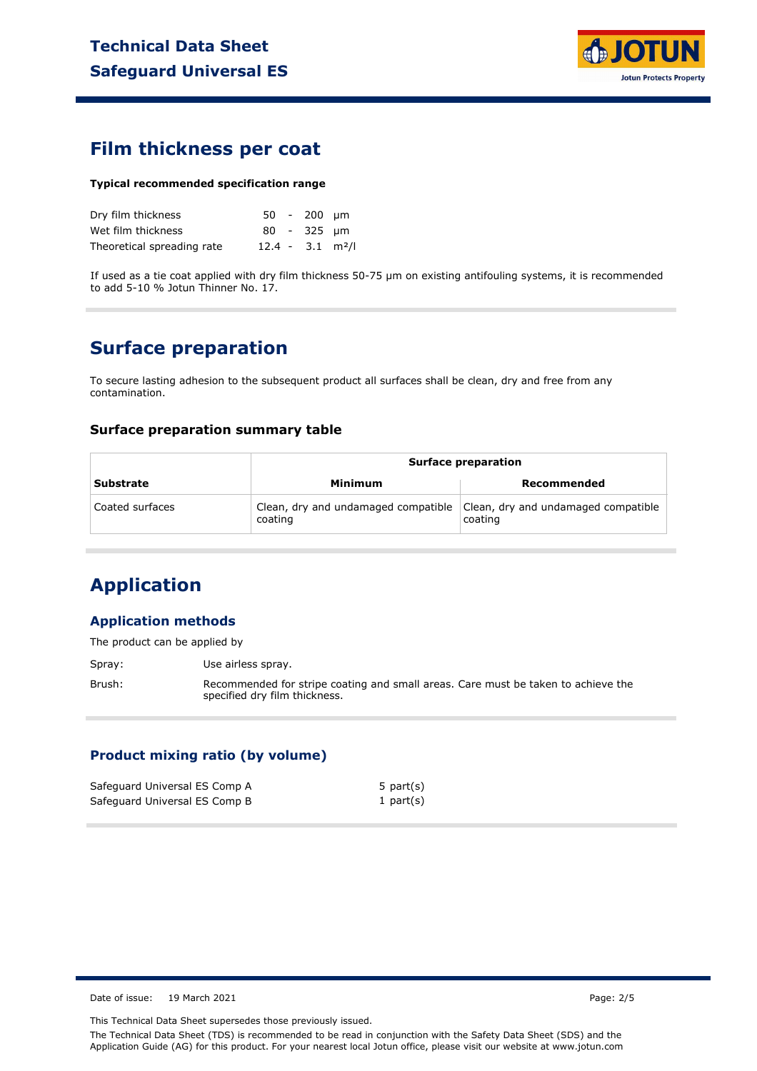

### **Film thickness per coat**

#### **Typical recommended specification range**

| Dry film thickness         |                                | $50 - 200$ um |  |
|----------------------------|--------------------------------|---------------|--|
| Wet film thickness         |                                | 80 - 325 µm   |  |
| Theoretical spreading rate | $12.4 - 3.1$ m <sup>2</sup> /l |               |  |

If used as a tie coat applied with dry film thickness 50-75 µm on existing antifouling systems, it is recommended to add 5-10 % Jotun Thinner No. 17.

### **Surface preparation**

To secure lasting adhesion to the subsequent product all surfaces shall be clean, dry and free from any contamination.

#### **Surface preparation summary table**

|                  | <b>Surface preparation</b>                     |                                                |  |  |
|------------------|------------------------------------------------|------------------------------------------------|--|--|
| <b>Substrate</b> | Minimum                                        | Recommended                                    |  |  |
| Coated surfaces  | Clean, dry and undamaged compatible<br>coating | Clean, dry and undamaged compatible<br>coating |  |  |

## **Application**

### **Application methods**

The product can be applied by

Spray: Use airless spray.

Brush: Recommended for stripe coating and small areas. Care must be taken to achieve the specified dry film thickness.

### **Product mixing ratio (by volume)**

| Safeguard Universal ES Comp A | 5 part $(s)$ |
|-------------------------------|--------------|
| Safeguard Universal ES Comp B | 1 part $(s)$ |

Date of issue: 19 March 2021 **Page: 2/5** 

This Technical Data Sheet supersedes those previously issued.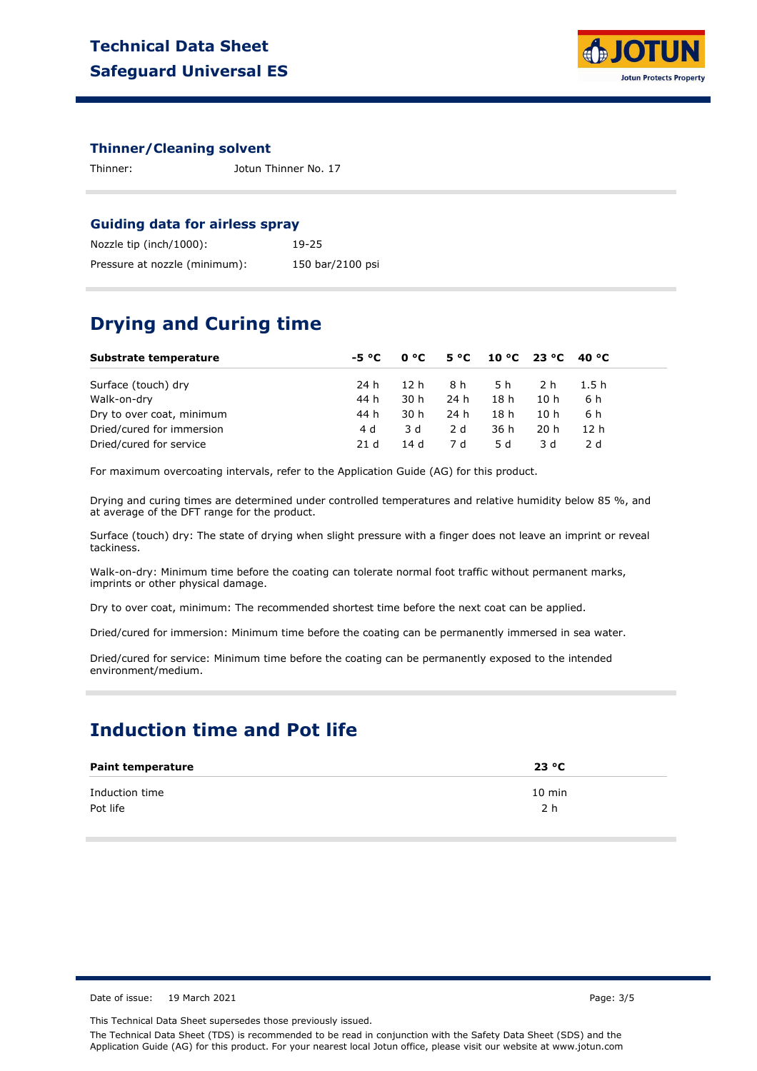

#### **Thinner/Cleaning solvent**

Thinner: Jotun Thinner No. 17

#### **Guiding data for airless spray**

| Nozzle tip (inch/1000):       | 19-25            |
|-------------------------------|------------------|
| Pressure at nozzle (minimum): | 150 bar/2100 psi |

### **Drying and Curing time**

| Substrate temperature     | -5 °C |      |      | $0^{\circ}$ C 5 °C 10 °C 23 °C 40 °C |      |       |  |
|---------------------------|-------|------|------|--------------------------------------|------|-------|--|
| Surface (touch) dry       | 24 h  | 12 h | 8 h  | 5 h                                  | 2 h  | 1.5 h |  |
| Walk-on-dry               | 44 h  | 30 h | 24 h | 18 h                                 | 10h  | 6 h   |  |
| Dry to over coat, minimum | 44 h  | 30 h | 24 h | 18 h                                 | 10h  | 6 h   |  |
| Dried/cured for immersion | 4 d   | 3 d  | 2 d  | 36 h                                 | 20 h | 12 h  |  |
| Dried/cured for service   | 21 d  | 14d  | 7 d  | .5 d                                 | 3 d  | 2 d   |  |

For maximum overcoating intervals, refer to the Application Guide (AG) for this product.

Drying and curing times are determined under controlled temperatures and relative humidity below 85 %, and at average of the DFT range for the product.

Surface (touch) dry: The state of drying when slight pressure with a finger does not leave an imprint or reveal tackiness.

Walk-on-dry: Minimum time before the coating can tolerate normal foot traffic without permanent marks, imprints or other physical damage.

Dry to over coat, minimum: The recommended shortest time before the next coat can be applied.

Dried/cured for immersion: Minimum time before the coating can be permanently immersed in sea water.

Dried/cured for service: Minimum time before the coating can be permanently exposed to the intended environment/medium.

### **Induction time and Pot life**

| <b>Paint temperature</b> | 23 °C            |
|--------------------------|------------------|
| Induction time           | $10 \text{ min}$ |
| Pot life                 | 2 h              |

Date of issue: 19 March 2021 **Page: 3/5** Page: 3/5

This Technical Data Sheet supersedes those previously issued.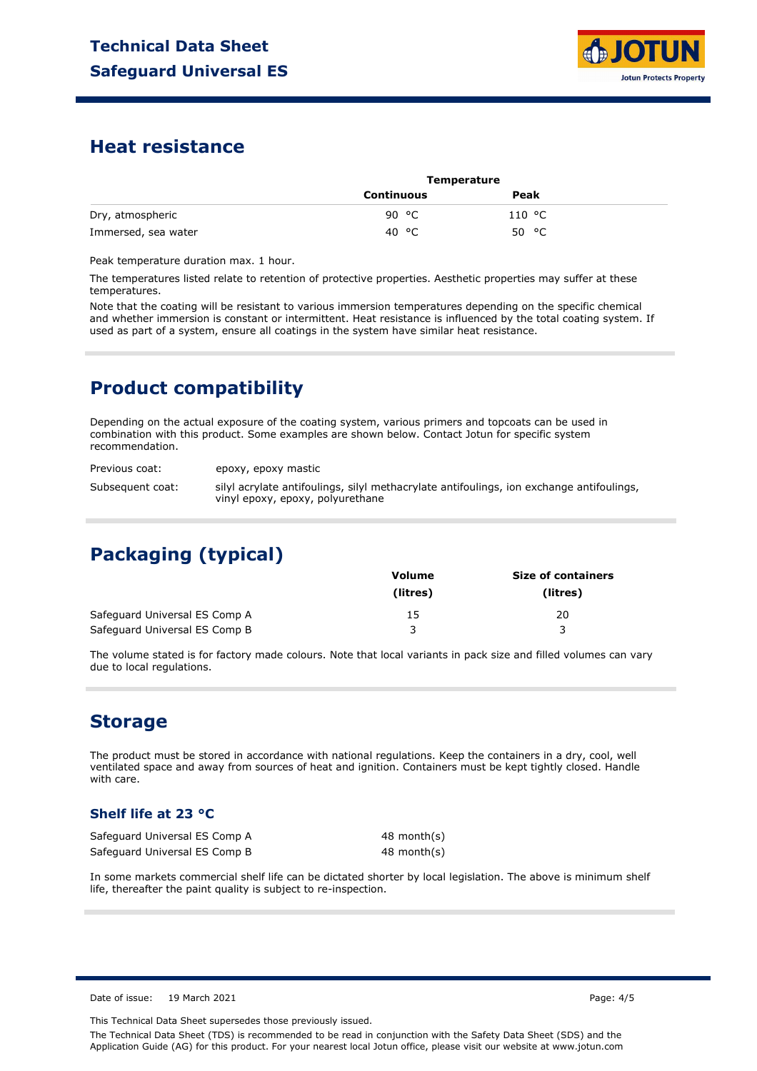

### **Heat resistance**

|                     | <b>Temperature</b> |        |  |
|---------------------|--------------------|--------|--|
|                     | Continuous         | Peak   |  |
| Dry, atmospheric    | 90 °C              | 110 °C |  |
| Immersed, sea water | 40 °C              | 50 °C  |  |

Peak temperature duration max. 1 hour.

The temperatures listed relate to retention of protective properties. Aesthetic properties may suffer at these temperatures.

Note that the coating will be resistant to various immersion temperatures depending on the specific chemical and whether immersion is constant or intermittent. Heat resistance is influenced by the total coating system. If used as part of a system, ensure all coatings in the system have similar heat resistance.

## **Product compatibility**

Depending on the actual exposure of the coating system, various primers and topcoats can be used in combination with this product. Some examples are shown below. Contact Jotun for specific system recommendation.

Previous coat: Subsequent coat: epoxy, epoxy mastic silyl acrylate antifoulings, silyl methacrylate antifoulings, ion exchange antifoulings, vinyl epoxy, epoxy, polyurethane

# **Packaging (typical)**

|                               | Volume   | <b>Size of containers</b> |
|-------------------------------|----------|---------------------------|
|                               | (litres) | (litres)                  |
| Safeguard Universal ES Comp A | 15       | 20                        |
| Safeguard Universal ES Comp B |          |                           |

The volume stated is for factory made colours. Note that local variants in pack size and filled volumes can vary due to local regulations.

### **Storage**

The product must be stored in accordance with national regulations. Keep the containers in a dry, cool, well ventilated space and away from sources of heat and ignition. Containers must be kept tightly closed. Handle with care.

### **Shelf life at 23 °C**

| Safeguard Universal ES Comp A | 48 month(s) |  |
|-------------------------------|-------------|--|
| Safeguard Universal ES Comp B | 48 month(s) |  |

In some markets commercial shelf life can be dictated shorter by local legislation. The above is minimum shelf life, thereafter the paint quality is subject to re-inspection.

Date of issue: 19 March 2021 Page: 4/5

This Technical Data Sheet supersedes those previously issued.